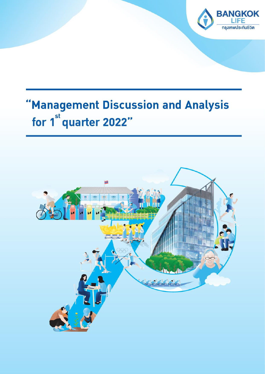

# "Management Discussion and Analysis for 1<sup>st</sup> quarter 2022"

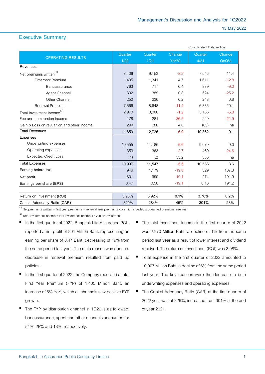# **Executive Summary**

|                                            |         |         |         | Consolidated Baht, million |         |  |  |
|--------------------------------------------|---------|---------|---------|----------------------------|---------|--|--|
| <b>OPERATING RESULTS</b>                   | Quarter | Quarter | Change  | Quarter                    | Change  |  |  |
|                                            | 1/22    | 1/21    | YoY%    | 4/21                       | QoQ%    |  |  |
| Revenues                                   |         |         |         |                            |         |  |  |
| Net premiums written $(1)$                 | 8,406   | 9.153   | $-8.2$  | 7,546                      | 11.4    |  |  |
| First Year Premium                         | 1,405   | 1,341   | 4.7     | 1,611                      | $-12.8$ |  |  |
| Bancassurance                              | 763     | 717     | 6.4     | 839                        | $-9.0$  |  |  |
| Agent Channel                              | 392     | 389     | 0.8     | 524                        | $-25.2$ |  |  |
| Other Channel                              | 250     | 236     | 6.2     | 248                        | 0.8     |  |  |
| Renewal Premium                            | 7,666   | 8,648   | $-11.4$ | 6,385                      | 20.1    |  |  |
| Total Investment Income <sup>(2)</sup>     | 2,970   | 3,006   | $-1.2$  | 3,153                      | $-5.8$  |  |  |
| Fee and commission income                  | 178     | 281     | $-36.5$ | 229                        | $-21.9$ |  |  |
| Gain & Loss on revualtion and other income | 299     | 286     | 4.6     | (65)                       | na      |  |  |
| <b>Total Revenues</b>                      | 11,853  | 12,726  | $-6.9$  | 10,862                     | 9.1     |  |  |
| Expenses                                   |         |         |         |                            |         |  |  |
| Underwriting expenses                      | 10,555  | 11,186  | $-5.6$  | 9,679                      | 9.0     |  |  |
| Operating expenses                         | 353     | 363     | $-2.7$  | 469                        | $-24.6$ |  |  |
| <b>Expected Credit Loss</b>                | (1)     | (2)     | 53.2    | 385                        | na      |  |  |
| <b>Total Expenses</b>                      | 10,907  | 11,547  | $-5.5$  | 10,533                     | 3.6     |  |  |
| Earning before tax                         | 946     | 1,179   | $-19.8$ | 329                        | 187.8   |  |  |
| Net profit                                 | 801     | 990     | $-19.1$ | 274                        | 191.9   |  |  |
| Earnings per share (EPS)                   | 0.47    | 0.58    | $-19.1$ | 0.16                       | 191.2   |  |  |
| Return on investment (ROI)                 | 3.98%   | 3.92%   | 0.1%    | 3.78%                      | 0.2%    |  |  |
| Capital Adequacy Ratio (CAR)               | 329%    | 284%    | 45%     | 301%                       | 28%     |  |  |
|                                            |         |         |         |                            |         |  |  |

<sup>(1)</sup> Net premiums written = first year premiums + renewal year premiums - premiums ceded ± unearned premium reserves

 $\overset{\text{\tiny{(2)}}}{ }$  Total investment income = Net investment income + Gain on investment

- In the first quarter of 2022, Bangkok Life Assurance PCL. reported a net profit of 801 Million Baht, representing an earning per share of 0.47 Baht, decreasing of 19% from the same period last year. The main reason was due to a decrease in renewal premium resulted from paid up policies.
- In the first quarter of 2022, the Company recorded a total First Year Premium (FYP) of 1,405 Million Baht, an increase of 5% YoY, which all channels saw positive FYP growth.
- The FYP by distribution channel in 1Q22 is as followed: bancassurance, agent and other channels accounted for 54%, 28% and 18%, respectively.
- The total investment income in the first quarter of 2022 was 2,970 Million Baht, a decline of 1% from the same period last year as a result of lower interest and dividend received. The return on investment (ROI) was 3.98%.
- Total expense in the first quarter of 2022 amounted to 10,907 Million Baht, a decline of 6% from the same period last year. The key reasons were the decrease in both underwriting expenses and operating expenses.
- The Capital Adequacy Ratio (CAR) at the first quarter of 2022 year was at 329%, increased from 301% at the end of year 2021.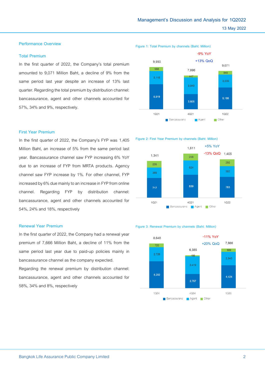# **Performance Overview**

## **Total Premium**

In the first quarter of 2022, the Company's total premium amounted to 9,071 Million Baht, a decline of 9% from the same period last year despite an increase of 13% last quarter. Regarding the total premium by distribution channel: bancassurance, agent and other channels accounted for 57%, 34% and 9%, respectively.

#### **First Year Premium**

In the first quarter of 2022, the Company's FYP was 1,405 Million Baht, an increase of 5% from the same period last year. Bancassurance channel saw FYP increasing 6% YoY due to an increase of FYP from MRTA products. Agency channel saw FYP increase by 1%. For other channel, FYP increased by 6% due mainly to an increase in FYP from online channel. Regarding FYP by distribution channel: bancassurance, agent and other channels accounted for 54%, 24% and 18%, respectively

## **Renewal Year Premium**

In the first quarter of 2022, the Company had a renewal year premium of 7,666 Million Baht, a decline of 11% from the same period last year due to paid-up policies mainly in bancassurance channel as the company expected.

Regarding the renewal premium by distribution channel: bancassurance, agent and other channels accounted for 58%, 34% and 8%, respectively







#### **Figure 3: Renewal Premium by channels (Baht: Million)**

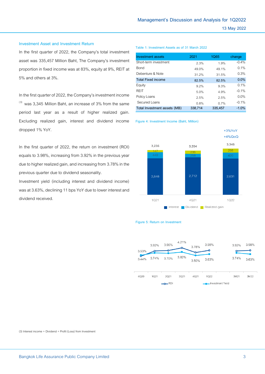#### **Investment Asset and Investment Return**

In the first quarter of 2022, the Company's total investment asset was 335,457 Million Baht, The Company's investment proportion in fixed income was at 83%, equity at 9%, REIT at 5% and othersat 3%.

In the first quarter of 2022, the Company's investment income  $^{(3)}$  was 3,345 Million Baht, an increase of 3% from the same period last year as a result of higher realized gain. Excluding realized gain, interest and dividend income dropped 1% YoY.

In the first quarter of 2022, the return on investment (ROI) equals to 3.98%, increasing from 3.92% in the previous year due to higher realized gain, and increasing from 3.78% in the previous quarter due to dividend seasonality.

Investment yield (including interest and dividend income) was at 3.63%, declining 11 bps YoY due to lower interest and dividend received.

#### **Table 1: Investment Assets as of 31 March 2022**

**Figure 4: Investment Income (Baht, Million)**

| Investment assets            | 2021    | 1Q65    | change  |
|------------------------------|---------|---------|---------|
| Short-term investment        | 2.3%    | 1.9%    | $-0.4%$ |
| <b>Bond</b>                  | 49.0%   | 49.1%   | 0.1%    |
| Debenture & Note             | 31.2%   | 31.5%   | 0.3%    |
| <b>Total Fixed income</b>    | 82.5%   | 82.5%   | 0.0%    |
| Equity                       | 9.2%    | 9.3%    | 0.1%    |
| <b>RFIT</b>                  | 5.0%    | 4.9%    | $-0.1%$ |
| Policy Loans                 | 2.5%    | 2.5%    | 0.0%    |
| Secured Loans                | 0.8%    | 0.7%    | $-0.1%$ |
| Total Investment assets (MB) | 338,714 | 335,457 | $-1.0%$ |



## **Figure 5: Return on Investment**



(3) Interest income + Dividend + Profit (Loss) from Investment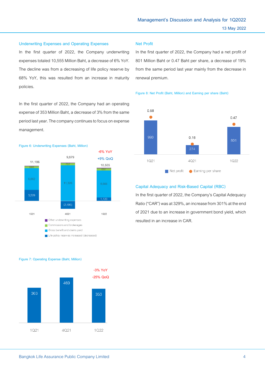#### **Underwriting Expenses and Operating Expenses**

In the first quarter of 2022, the Company underwriting expenses totaled 10,555 Million Baht, a decrease of 6% YoY. The decline was from a decreasing of life policy reserve by 68% YoY, this was resulted from an increase in maturity policies.

In the first quarter of 2022, the Company had an operating expense of 353 Million Baht, a decreaseof 3% from the same period lastyear. The companycontinues to focus on expense management.



#### **Net Profit**

In the first quarter of 2022, the Company had a net profit of 801 Million Baht or 0.47 Baht per share, a decrease of 19% from the same period last year mainly from the decrease in renewal premium.

#### **Figure 8: Net Profit (Baht, Million) and Earning per share (Baht)**



### **Capital Adequacy and Risk-Based Capital (RBC)**

In the first quarter of 2022, the Company's Capital Adequacy Ratio ("CAR") was at 329%, an increase from 301% at the end of 2021 due to an increase in government bond yield, which resulted in an increase in CAR.



#### **Figure 7: Operating Expense (Baht, Million)**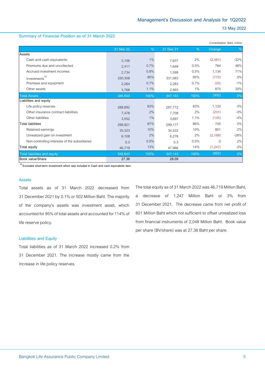#### **Summary of Financial Position as of 31 March 2022**

|                                               |           |         |           |         |          | Condolidated Baht, million |
|-----------------------------------------------|-----------|---------|-----------|---------|----------|----------------------------|
|                                               | 31 Mar 22 | $\%$    | 31 Dec 21 | $\%$    | Change   | $\%$                       |
| Assets                                        |           |         |           |         |          |                            |
| Cash and cash equivalents                     | 5,156     | 1%      | 7,637     | 2%      | (2,481)  | $-32%$                     |
| Premiums due and uncollected                  | 2,411     | 0.7%    | 1,648     | 0.5%    | 764      | 46%                        |
| Accrued investment incomes                    | 2,734     | 0.8%    | 1,599     | 0.5%    | 1,134    | 71%                        |
| Investments <sup>(4)</sup>                    | 330,308   | 95%     | 331,083   | 95%     | (775)    | $0\%$                      |
| Premises and equipment                        | 2,264     | 0.7%    | 2,283     | 0.7%    | (20)     | $-1%$                      |
| Other assets                                  | 3,768     | 1.1%    | 2,893     | 1%      | 875      | 30%                        |
| <b>Total Assets</b>                           | 346,640   | 100%    | 347,143   | 100%    | (502)    | 0%                         |
| Liabilities and equity                        |           |         |           |         |          |                            |
| Life policy reserves                          | 288,892   | 83%     | 287.772   | 83%     | 1,120    | $0\%$                      |
| Other insurance contract liabilities          | 7.478     | 2%      | 7.708     | 2%      | (231)    | $-3%$                      |
| Other liabilities                             | 3,552     | 1%      | 3,697     | 1.1%    | (145)    | $-4%$                      |
| <b>Total liabilities</b>                      | 299,921   | 87%     | 299,177   | 86%     | 745      | 0%                         |
| Retained earnings                             | 35,323    | 10%     | 34,522    | 10%     | 801      | 2%                         |
| Unrealized gain on investment                 | 6,108     | 2%      | 8,276     | 2%      | (2, 168) | $-26%$                     |
| Non-controlling interests of the subsidiaries | 0.3       | $0.0\%$ | 0.3       | $0.0\%$ | $\Omega$ | 2%                         |
| Total equity                                  | 46,719    | 13%     | 47,966    | 14%     | (1,247)  | $-3%$                      |
| <b>Total liabilities and equity</b>           | 346.640   | 100%    | 347,143   | 100%    | (502)    | 0%                         |
| <b>Book value/Share</b>                       | 27.36     |         | 28.09     |         |          |                            |

**(4) Excluded short-term investment which was included in Cash and cash equivalents item**

#### **Assets**

Total assets as of 31 March 2022 decreased from 31 December2021 by 0.1% or 502 Million Baht. The majority of the company's assets was investment asset, which accounted for95% of total assets and accounted for 114% of life reserve policy.

#### **Liabilities and Equity**

Total liabilities as of 31 March 2022 increased 0.2% from 31 December 2021. The increase mostly came from the increase in life policy reserves.

The total equity as of 31 March 2022 was 46,719 Million Baht, a decrease of 1,247 Million Baht or 3% from 31 December 2021. The decrease came from net profit of 801 Million Baht which not sufficient to offset unrealized loss from financial instruments of 2,048 Million Baht. Book value per share (BV/share) was at 27.36 Baht per share.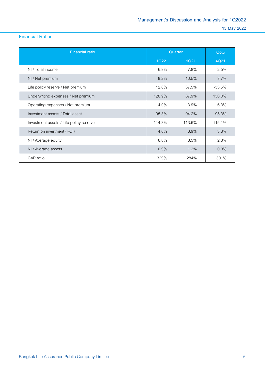# **Financial Ratios**

| <b>Financial ratio</b>                  | Quarter |         | QoQ       |
|-----------------------------------------|---------|---------|-----------|
|                                         | 1Q22    | 1Q21    | 4Q21      |
| NI / Total income                       | 6.8%    | 7.8%    | 2.5%      |
| NI / Net premium                        | 9.2%    | 10.5%   | 3.7%      |
| Life policy reserve / Net premium       | 12.8%   | 37.5%   | $-33.5\%$ |
| Underwriting expenses / Net premium     | 120.9%  | 87.9%   | 130.0%    |
| Operating expenses / Net premium        | $4.0\%$ | 3.9%    | 6.3%      |
| Investment assets / Total asset         | 95.3%   | 94.2%   | 95.3%     |
| Investment assets / Life policy reserve | 114.3%  | 113.6%  | 115.1%    |
| Return on invertment (ROI)              | 4.0%    | 3.9%    | 3.8%      |
| NI / Average equity                     | 6.8%    | 8.5%    | 2.3%      |
| NI / Average assets                     | 0.9%    | $1.2\%$ | 0.3%      |
| CAR ratio                               | 329%    | 284%    | 301%      |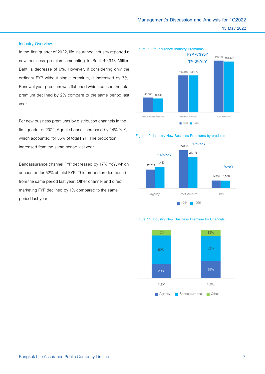# **Industry Overview**

In the first quarter of 2022, life insurance industry reported a new business premium amounting to Baht 40,948 Million Baht, a decrease of 6%. However, if considering only the ordinary FYP without single premium, it increased by 7%. Renewal year premium was flattened which caused the total premium declined by 2% compare to the same period last year.

For new business premiums by distribution channels in the first quarter of 2022, Agent channel increased by 14% YoY, which accounted for 35% of total FYP. The proportion increased from the same period last year.

Bancassurance channel FYP decreased by 17% YoY, which accounted for 52% of total FYP. This proportion decreased from the same period last year. Other channel and direct marketing FYP declined by1% compared to the same period last year.